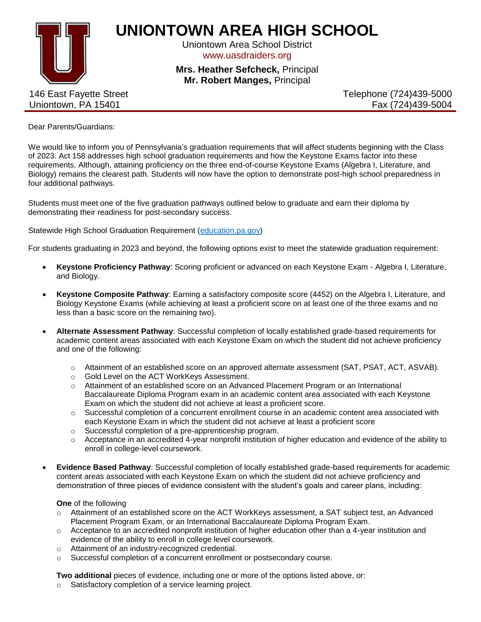

## **UNIONTOWN AREA HIGH SCHOOL**

Uniontown Area School District www.uasdraiders.org

**Mrs. Heather Sefcheck,** Principal **Mr. Robert Manges,** Principal

146 East Fayette Street Uniontown, PA 15401

Telephone (724)439-5000 Fax (724)439-5004

Dear Parents/Guardians:

We would like to inform you of Pennsylvania's graduation requirements that will affect students beginning with the Class of 2023. Act 158 addresses high school graduation requirements and how the Keystone Exams factor into these requirements. Although, attaining proficiency on the three end-of-course Keystone Exams (Algebra I, Literature, and Biology) remains the clearest path. Students will now have the option to demonstrate post-high school preparedness in four additional pathways.

Students must meet one of the five graduation pathways outlined below to graduate and earn their diploma by demonstrating their readiness for post-secondary success.

Statewide High School Graduation Requirement [\(education.pa.gov\)](https://www.education.pa.gov/K-12/Assessment%20and%20Accountability/GraduationRequirements/Act158/Pages/default.aspx)

For students graduating in 2023 and beyond, the following options exist to meet the statewide graduation requirement:

- **Keystone Proficiency Pathway**: Scoring proficient or advanced on each Keystone Exam Algebra I, Literature, and Biology.
- **Keystone Composite Pathway**: Earning a satisfactory composite score (4452) on the Algebra I, Literature, and Biology Keystone Exams (while achieving at least a proficient score on at least one of the three exams and no less than a basic score on the remaining two).
- **Alternate Assessment Pathway**: Successful completion of locally established grade-based requirements for academic content areas associated with each Keystone Exam on which the student did not achieve proficiency and one of the following:
	- o Attainment of an established score on an approved alternate assessment (SAT, PSAT, ACT, ASVAB).
	- o Gold Level on the ACT WorkKeys Assessment.
	- o Attainment of an established score on an Advanced Placement Program or an International Baccalaureate Diploma Program exam in an academic content area associated with each Keystone Exam on which the student did not achieve at least a proficient score.
	- $\circ$  Successful completion of a concurrent enrollment course in an academic content area associated with each Keystone Exam in which the student did not achieve at least a proficient score
	- o Successful completion of a pre-apprenticeship program.
	- $\circ$  Acceptance in an accredited 4-year nonprofit institution of higher education and evidence of the ability to enroll in college-level coursework.
- **Evidence Based Pathway**: Successful completion of locally established grade-based requirements for academic content areas associated with each Keystone Exam on which the student did not achieve proficiency and demonstration of three pieces of evidence consistent with the student's goals and career plans, including:

**One** of the following

- o Attainment of an established score on the ACT WorkKeys assessment, a SAT subject test, an Advanced Placement Program Exam, or an International Baccalaureate Diploma Program Exam.
- $\circ$  Acceptance to an accredited nonprofit institution of higher education other than a 4-year institution and evidence of the ability to enroll in college level coursework.
- o Attainment of an industry-recognized credential.
- o Successful completion of a concurrent enrollment or postsecondary course.

**Two additional** pieces of evidence, including one or more of the options listed above, or:

Satisfactory completion of a service learning project.